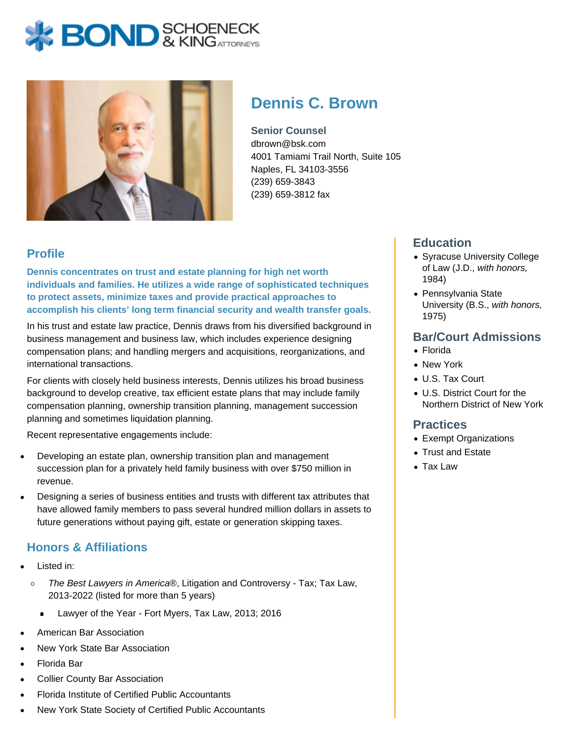# **BOND** & KINGATTORNECK



# **Dennis C. Brown**

**Senior Counsel** dbrown@bsk.com 4001 Tamiami Trail North, Suite 105 Naples, FL 34103-3556 (239) 659-3843 (239) 659-3812 fax

# **Profile**

**Dennis concentrates on trust and estate planning for high net worth individuals and families. He utilizes a wide range of sophisticated techniques to protect assets, minimize taxes and provide practical approaches to accomplish his clients' long term financial security and wealth transfer goals.**

In his trust and estate law practice, Dennis draws from his diversified background in business management and business law, which includes experience designing compensation plans; and handling mergers and acquisitions, reorganizations, and international transactions.

For clients with closely held business interests, Dennis utilizes his broad business background to develop creative, tax efficient estate plans that may include family compensation planning, ownership transition planning, management succession planning and sometimes liquidation planning.

Recent representative engagements include:

- Developing an estate plan, ownership transition plan and management succession plan for a privately held family business with over \$750 million in revenue.
- Designing a series of business entities and trusts with different tax attributes that have allowed family members to pass several hundred million dollars in assets to future generations without paying gift, estate or generation skipping taxes.

# **Honors & Affiliations**

- Listed in:
	- $\circ$ The Best Lawyers in America®, Litigation and Controversy - Tax; Tax Law, 2013-2022 (listed for more than 5 years)
		- Lawyer of the Year Fort Myers, Tax Law, 2013; 2016  $\blacksquare$
- American Bar Association
- New York State Bar Association
- Florida Bar
- Collier County Bar Association
- Florida Institute of Certified Public Accountants
- New York State Society of Certified Public Accountants

# **Education**

- Syracuse University College of Law (J.D., with honors, 1984)
- Pennsylvania State University (B.S., with honors, 1975)

# **Bar/Court Admissions**

- Florida
- New York
- U.S. Tax Court
- U.S. District Court for the Northern District of New York

#### **Practices**

- Exempt Organizations
- Trust and Estate
- Tax Law